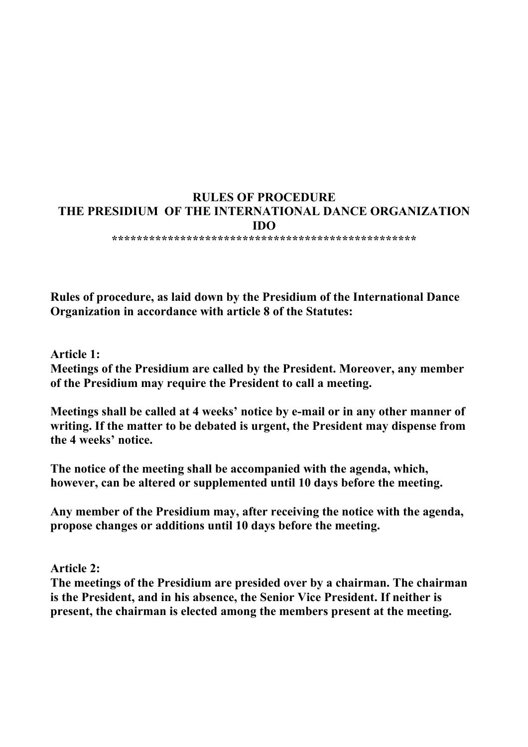# **RULES OF PROCEDURE THE PRESIDIUM OF THE INTERNATIONAL DANCE ORGANIZATION IDO**

**\*\*\*\*\*\*\*\*\*\*\*\*\*\*\*\*\*\*\*\*\*\*\*\*\*\*\*\*\*\*\*\*\*\*\*\*\*\*\*\*\*\*\*\*\*\*\*\*\*** 

**Rules of procedure, as laid down by the Presidium of the International Dance Organization in accordance with article 8 of the Statutes:** 

**Article 1:** 

**Meetings of the Presidium are called by the President. Moreover, any member of the Presidium may require the President to call a meeting.** 

**Meetings shall be called at 4 weeks' notice by e-mail or in any other manner of writing. If the matter to be debated is urgent, the President may dispense from the 4 weeks' notice.** 

**The notice of the meeting shall be accompanied with the agenda, which, however, can be altered or supplemented until 10 days before the meeting.** 

**Any member of the Presidium may, after receiving the notice with the agenda, propose changes or additions until 10 days before the meeting.** 

**Article 2:** 

**The meetings of the Presidium are presided over by a chairman. The chairman is the President, and in his absence, the Senior Vice President. If neither is present, the chairman is elected among the members present at the meeting.**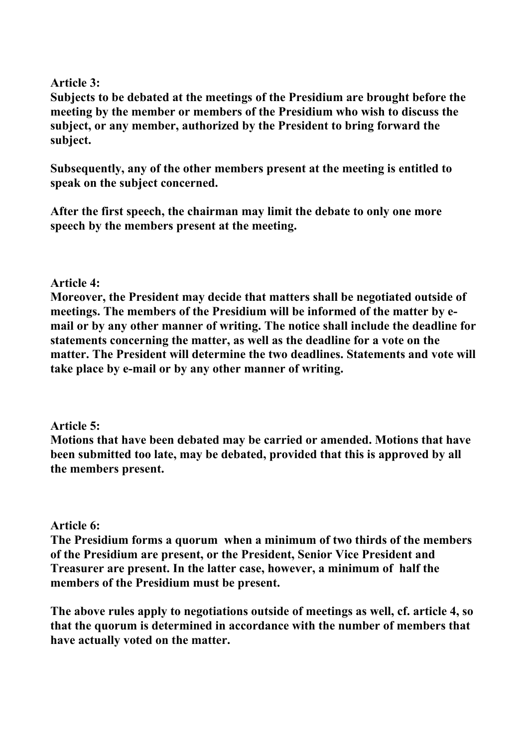## **Article 3:**

**Subjects to be debated at the meetings of the Presidium are brought before the meeting by the member or members of the Presidium who wish to discuss the subject, or any member, authorized by the President to bring forward the subject.** 

**Subsequently, any of the other members present at the meeting is entitled to speak on the subject concerned.** 

**After the first speech, the chairman may limit the debate to only one more speech by the members present at the meeting.** 

## **Article 4:**

**Moreover, the President may decide that matters shall be negotiated outside of meetings. The members of the Presidium will be informed of the matter by email or by any other manner of writing. The notice shall include the deadline for statements concerning the matter, as well as the deadline for a vote on the matter. The President will determine the two deadlines. Statements and vote will take place by e-mail or by any other manner of writing.** 

# **Article 5:**

**Motions that have been debated may be carried or amended. Motions that have been submitted too late, may be debated, provided that this is approved by all the members present.** 

### **Article 6:**

**The Presidium forms a quorum when a minimum of two thirds of the members of the Presidium are present, or the President, Senior Vice President and Treasurer are present. In the latter case, however, a minimum of half the members of the Presidium must be present.** 

**The above rules apply to negotiations outside of meetings as well, cf. article 4, so that the quorum is determined in accordance with the number of members that have actually voted on the matter.**